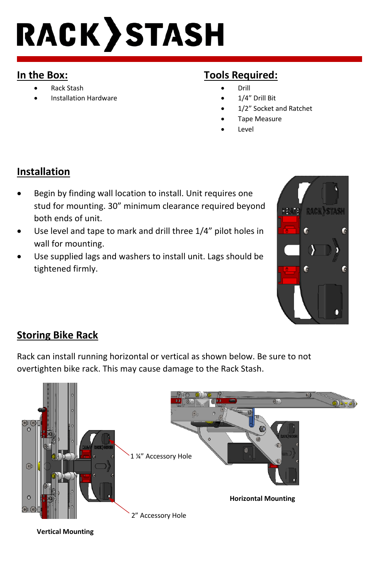# **RACK STASH**

#### **In the Box:**

- Rack Stash
- Installation Hardware

# **Tools Required:**

- Drill
- 1/4" Drill Bit
- 1/2" Socket and Ratchet
- Tape Measure
- Level

### **Installation**

- Begin by finding wall location to install. Unit requires one stud for mounting. 30" minimum clearance required beyond both ends of unit.
- Use level and tape to mark and drill three 1/4" pilot holes in wall for mounting.
- Use supplied lags and washers to install unit. Lags should be tightened firmly.



#### **Storing Bike Rack**

Rack can install running horizontal or vertical as shown below. Be sure to not overtighten bike rack. This may cause damage to the Rack Stash.



**Vertical Mounting**